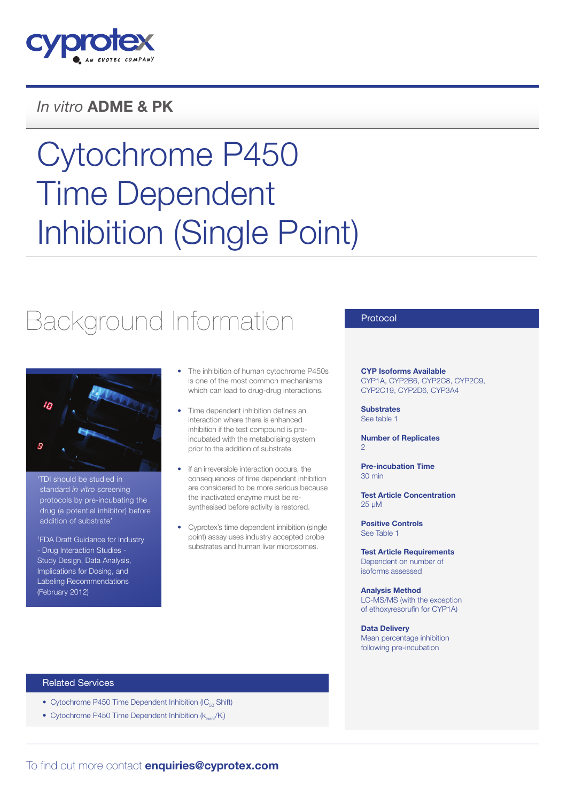

### *In vitro* ADME & PK

# Cytochrome P450 Time Dependent Inhibition (Single Point)

## Background Information



'TDI should be studied in standard *in vitro* screening protocols by pre-incubating the drug (a potential inhibitor) before addition of substrate'

1 FDA Draft Guidance for Industry - Drug Interaction Studies - Study Design, Data Analysis, Implications for Dosing, and Labeling Recommendations (February 2012)

- The inhibition of human cytochrome P450s is one of the most common mechanisms which can lead to drug-drug interactions.
- Time dependent inhibition defines an interaction where there is enhanced inhibition if the test compound is preincubated with the metabolising system prior to the addition of substrate.
- If an irreversible interaction occurs, the consequences of time dependent inhibition are considered to be more serious because the inactivated enzyme must be resynthesised before activity is restored.
- Cyprotex's time dependent inhibition (single point) assay uses industry accepted probe substrates and human liver microsomes.

#### Protocol

CYP Isoforms Available CYP1A, CYP2B6, CYP2C8, CYP2C9, CYP2C19, CYP2D6, CYP3A4

**Substrates** See table 1

Number of Replicates  $\circ$ 

Pre-incubation Time 30 min

Test Article Concentration 25 µM

Positive Controls See Table 1

Test Article Requirements Dependent on number of isoforms assessed

Analysis Method LC-MS/MS (with the exception of ethoxyresorufin for CYP1A)

Data Delivery Mean percentage inhibition following pre-incubation

#### Related Services

- Cytochrome P450 Time Dependent Inhibition ( $IC_{50}$  Shift)
- Cytochrome P450 Time Dependent Inhibition  $(k_{\text{inact}}/K)$